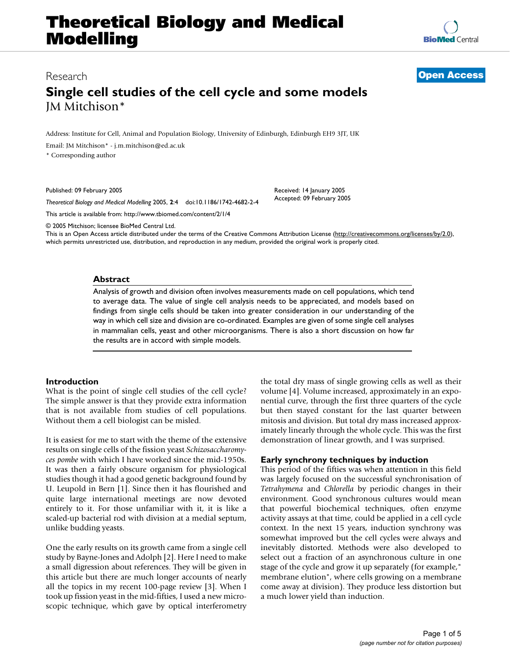# **Theoretical Biology and Medical Modelling**

**[BioMed](http://www.biomedcentral.com/)** Central

# Research **[Open Access](http://www.biomedcentral.com/info/about/charter/)**

# **Single cell studies of the cell cycle and some models** JM Mitchison\*

Address: Institute for Cell, Animal and Population Biology, University of Edinburgh, Edinburgh EH9 3JT, UK

Email: JM Mitchison\* - j.m.mitchison@ed.ac.uk

\* Corresponding author

Published: 09 February 2005

*Theoretical Biology and Medical Modelling* 2005, **2**:4 doi:10.1186/1742-4682-2-4

[This article is available from: http://www.tbiomed.com/content/2/1/4](http://www.tbiomed.com/content/2/1/4)

© 2005 Mitchison; licensee BioMed Central Ltd.

This is an Open Access article distributed under the terms of the Creative Commons Attribution License [\(http://creativecommons.org/licenses/by/2.0\)](http://creativecommons.org/licenses/by/2.0), which permits unrestricted use, distribution, and reproduction in any medium, provided the original work is properly cited.

Received: 14 January 2005 Accepted: 09 February 2005

#### **Abstract**

Analysis of growth and division often involves measurements made on cell populations, which tend to average data. The value of single cell analysis needs to be appreciated, and models based on findings from single cells should be taken into greater consideration in our understanding of the way in which cell size and division are co-ordinated. Examples are given of some single cell analyses in mammalian cells, yeast and other microorganisms. There is also a short discussion on how far the results are in accord with simple models.

#### **Introduction**

What is the point of single cell studies of the cell cycle? The simple answer is that they provide extra information that is not available from studies of cell populations. Without them a cell biologist can be misled.

It is easiest for me to start with the theme of the extensive results on single cells of the fission yeast *Schizosaccharomyces pombe* with which I have worked since the mid-1950s. It was then a fairly obscure organism for physiological studies though it had a good genetic background found by U. Leupold in Bern [1]. Since then it has flourished and quite large international meetings are now devoted entirely to it. For those unfamiliar with it, it is like a scaled-up bacterial rod with division at a medial septum, unlike budding yeasts.

One the early results on its growth came from a single cell study by Bayne-Jones and Adolph [2]. Here I need to make a small digression about references. They will be given in this article but there are much longer accounts of nearly all the topics in my recent 100-page review [3]. When I took up fission yeast in the mid-fifties, I used a new microscopic technique, which gave by optical interferometry the total dry mass of single growing cells as well as their volume [4]. Volume increased, approximately in an exponential curve, through the first three quarters of the cycle but then stayed constant for the last quarter between mitosis and division. But total dry mass increased approximately linearly through the whole cycle. This was the first demonstration of linear growth, and I was surprised.

#### **Early synchrony techniques by induction**

This period of the fifties was when attention in this field was largely focused on the successful synchronisation of *Tetrahymena* and *Chlorella* by periodic changes in their environment. Good synchronous cultures would mean that powerful biochemical techniques, often enzyme activity assays at that time, could be applied in a cell cycle context. In the next 15 years, induction synchrony was somewhat improved but the cell cycles were always and inevitably distorted. Methods were also developed to select out a fraction of an asynchronous culture in one stage of the cycle and grow it up separately (for example," membrane elution", where cells growing on a membrane come away at division). They produce less distortion but a much lower yield than induction.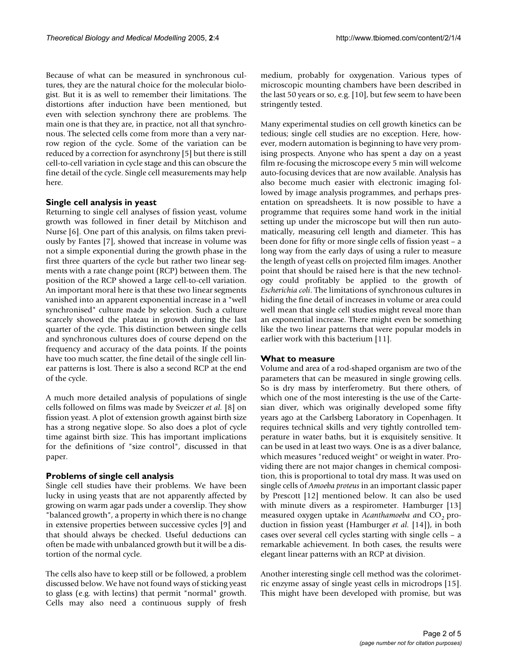Because of what can be measured in synchronous cultures, they are the natural choice for the molecular biologist. But it is as well to remember their limitations. The distortions after induction have been mentioned, but even with selection synchrony there are problems. The main one is that they are, in practice, not all that synchronous. The selected cells come from more than a very narrow region of the cycle. Some of the variation can be reduced by a correction for asynchrony [5] but there is still cell-to-cell variation in cycle stage and this can obscure the fine detail of the cycle. Single cell measurements may help here.

#### **Single cell analysis in yeast**

Returning to single cell analyses of fission yeast, volume growth was followed in finer detail by Mitchison and Nurse [6]. One part of this analysis, on films taken previously by Fantes [7], showed that increase in volume was not a simple exponential during the growth phase in the first three quarters of the cycle but rather two linear segments with a rate change point (RCP) between them. The position of the RCP showed a large cell-to-cell variation. An important moral here is that these two linear segments vanished into an apparent exponential increase in a "well synchronised" culture made by selection. Such a culture scarcely showed the plateau in growth during the last quarter of the cycle. This distinction between single cells and synchronous cultures does of course depend on the frequency and accuracy of the data points. If the points have too much scatter, the fine detail of the single cell linear patterns is lost. There is also a second RCP at the end of the cycle.

A much more detailed analysis of populations of single cells followed on films was made by Sveiczer *et al.* [8] on fission yeast. A plot of extension growth against birth size has a strong negative slope. So also does a plot of cycle time against birth size. This has important implications for the definitions of "size control", discussed in that paper.

#### **Problems of single cell analysis**

Single cell studies have their problems. We have been lucky in using yeasts that are not apparently affected by growing on warm agar pads under a coverslip. They show "balanced growth", a property in which there is no change in extensive properties between successive cycles [9] and that should always be checked. Useful deductions can often be made with unbalanced growth but it will be a distortion of the normal cycle.

The cells also have to keep still or be followed, a problem discussed below. We have not found ways of sticking yeast to glass (e.g. with lectins) that permit "normal" growth. Cells may also need a continuous supply of fresh

medium, probably for oxygenation. Various types of microscopic mounting chambers have been described in the last 50 years or so, e.g. [10], but few seem to have been stringently tested.

Many experimental studies on cell growth kinetics can be tedious; single cell studies are no exception. Here, however, modern automation is beginning to have very promising prospects. Anyone who has spent a day on a yeast film re-focusing the microscope every 5 min will welcome auto-focusing devices that are now available. Analysis has also become much easier with electronic imaging followed by image analysis programmes, and perhaps presentation on spreadsheets. It is now possible to have a programme that requires some hand work in the initial setting up under the microscope but will then run automatically, measuring cell length and diameter. This has been done for fifty or more single cells of fission yeast – a long way from the early days of using a ruler to measure the length of yeast cells on projected film images. Another point that should be raised here is that the new technology could profitably be applied to the growth of *Escherichia coli*. The limitations of synchronous cultures in hiding the fine detail of increases in volume or area could well mean that single cell studies might reveal more than an exponential increase. There might even be something like the two linear patterns that were popular models in earlier work with this bacterium [11].

#### **What to measure**

Volume and area of a rod-shaped organism are two of the parameters that can be measured in single growing cells. So is dry mass by interferometry. But there others, of which one of the most interesting is the use of the Cartesian diver, which was originally developed some fifty years ago at the Carlsberg Laboratory in Copenhagen. It requires technical skills and very tightly controlled temperature in water baths, but it is exquisitely sensitive. It can be used in at least two ways. One is as a diver balance, which measures "reduced weight" or weight in water. Providing there are not major changes in chemical composition, this is proportional to total dry mass. It was used on single cells of *Amoeba proteus* in an important classic paper by Prescott [12] mentioned below. It can also be used with minute divers as a respirometer. Hamburger [13] measured oxygen uptake in *Acanthamoeba and* CO<sub>2</sub> production in fission yeast (Hamburger *et al.* [14]), in both cases over several cell cycles starting with single cells – a remarkable achievement. In both cases, the results were elegant linear patterns with an RCP at division.

Another interesting single cell method was the colorimetric enzyme assay of single yeast cells in microdrops [15]. This might have been developed with promise, but was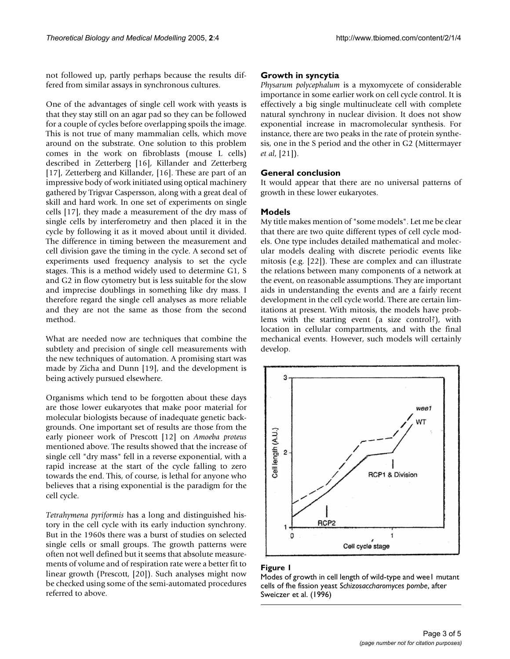not followed up, partly perhaps because the results differed from similar assays in synchronous cultures.

One of the advantages of single cell work with yeasts is that they stay still on an agar pad so they can be followed for a couple of cycles before overlapping spoils the image. This is not true of many mammalian cells, which move around on the substrate. One solution to this problem comes in the work on fibroblasts (mouse L cells) described in Zetterberg [16], Killander and Zetterberg [17], Zetterberg and Killander, [16]. These are part of an impressive body of work initiated using optical machinery gathered by Trigvar Caspersson, along with a great deal of skill and hard work. In one set of experiments on single cells [17], they made a measurement of the dry mass of single cells by interferometry and then placed it in the cycle by following it as it moved about until it divided. The difference in timing between the measurement and cell division gave the timing in the cycle. A second set of experiments used frequency analysis to set the cycle stages. This is a method widely used to determine G1, S and G2 in flow cytometry but is less suitable for the slow and imprecise doublings in something like dry mass. I therefore regard the single cell analyses as more reliable and they are not the same as those from the second method.

What are needed now are techniques that combine the subtlety and precision of single cell measurements with the new techniques of automation. A promising start was made by Zicha and Dunn [19], and the development is being actively pursued elsewhere.

Organisms which tend to be forgotten about these days are those lower eukaryotes that make poor material for molecular biologists because of inadequate genetic backgrounds. One important set of results are those from the early pioneer work of Prescott [12] on *Amoeba proteus* mentioned above. The results showed that the increase of single cell "dry mass" fell in a reverse exponential, with a rapid increase at the start of the cycle falling to zero towards the end. This, of course, is lethal for anyone who believes that a rising exponential is the paradigm for the cell cycle.

*Tetrahymena pyriformis* has a long and distinguished history in the cell cycle with its early induction synchrony. But in the 1960s there was a burst of studies on selected single cells or small groups. The growth patterns were often not well defined but it seems that absolute measurements of volume and of respiration rate were a better fit to linear growth (Prescott, [20]). Such analyses might now be checked using some of the semi-automated procedures referred to above.

## **Growth in syncytia**

*Physarum polycephalum* is a myxomycete of considerable importance in some earlier work on cell cycle control. It is effectively a big single multinucleate cell with complete natural synchrony in nuclear division. It does not show exponential increase in macromolecular synthesis. For instance, there are two peaks in the rate of protein synthesis, one in the S period and the other in G2 (Mittermayer *et al*, [21]).

#### **General conclusion**

It would appear that there are no universal patterns of growth in these lower eukaryotes.

### **Models**

My title makes mention of "some models". Let me be clear that there are two quite different types of cell cycle models. One type includes detailed mathematical and molecular models dealing with discrete periodic events like mitosis (e.g. [22]). These are complex and can illustrate the relations between many components of a network at the event, on reasonable assumptions. They are important aids in understanding the events and are a fairly recent development in the cell cycle world. There are certain limitations at present. With mitosis, the models have problems with the starting event (a size control?), with location in cellular compartments, and with the final mechanical events. However, such models will certainly develop.



#### Figure 1

Modes of growth in cell length of wild-type and wee1 mutant cells of fhe fission yeast *Schizosaccharomyces pombe*, after Sweiczer et al. (1996)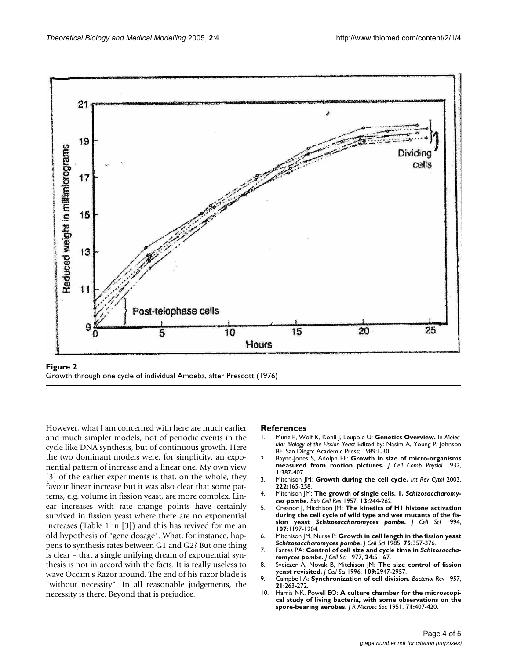

Figure 2 Growth through one cycle of individual Amoeba, after Prescott (1976)

However, what I am concerned with here are much earlier and much simpler models, not of periodic events in the cycle like DNA synthesis, but of continuous growth. Here the two dominant models were, for simplicity, an exponential pattern of increase and a linear one. My own view [3] of the earlier experiments is that, on the whole, they favour linear increase but it was also clear that some patterns, e.g. volume in fission yeast, are more complex. Linear increases with rate change points have certainly survived in fission yeast where there are no exponential increases (Table 1 in [3]) and this has revived for me an old hypothesis of "gene dosage". What, for instance, happens to synthesis rates between G1 and G2? But one thing is clear – that a single unifying dream of exponential synthesis is not in accord with the facts. It is really useless to wave Occam's Razor around. The end of his razor blade is "without necessity". In all reasonable judgements, the necessity is there. Beyond that is prejudice.

#### **References**

- 1. Munz P, Wolf K, Kohli J, Leupold U: Genetics Overview. In Molec*ular Biology of the Fission Yeast* Edited by: Nasim A, Young P, Johnson BF. San Diego: Academic Press; 1989:1-30.
- 2. Bayne-Jones S, Adolph EF: **Growth in size of micro-organisms measured from motion pictures.** *J Cell Comp Physiol* 1932, **1:**387-407.
- 3. Mitchison JM: **Growth during the cell cycle.** *Int Rev Cytol* 2003, **222:**165-258.
- 4. Mitchison JM: **The growth of single cells. 1.** *Schizosaccharomyces pombe***[.](http://www.ncbi.nlm.nih.gov/entrez/query.fcgi?cmd=Retrieve&db=PubMed&dopt=Abstract&list_uids=13480293)** *Exp Cell Res* 1957, **13:**244-262.
- 5. Creanor J, Mitchison JM: **The kinetics of H1 histone activation during the cell cycle of wild type and** *wee* **mutants of the fission yeast** *Schizosaccharomyces pombe***[.](http://www.ncbi.nlm.nih.gov/entrez/query.fcgi?cmd=Retrieve&db=PubMed&dopt=Abstract&list_uids=7929629)** *J Cell Sci* 1994, **107:**1197-1204.
- 6. Mitchison JM, Nurse P: **Growth in cell length in the fission yeast** *Schizosaccharomyces pombe***[.](http://www.ncbi.nlm.nih.gov/entrez/query.fcgi?cmd=Retrieve&db=PubMed&dopt=Abstract&list_uids=4044680)** *J Cell Sci* 1985, **75:**357-376.
- 7. Fantes PA: **Control of cell size and cycle time in** *Schizosaccharomyces pombe***[.](http://www.ncbi.nlm.nih.gov/entrez/query.fcgi?cmd=Retrieve&db=PubMed&dopt=Abstract&list_uids=893551)** *J Cell Sci* 1977, **24:**51-67.
- 8. Sveiczer A, Novak B, Mitchison JM: **[The size control of fission](http://www.ncbi.nlm.nih.gov/entrez/query.fcgi?cmd=Retrieve&db=PubMed&dopt=Abstract&list_uids=9013342) [yeast revisited.](http://www.ncbi.nlm.nih.gov/entrez/query.fcgi?cmd=Retrieve&db=PubMed&dopt=Abstract&list_uids=9013342)** *J Cell Sci* 1996, **109:**2947-2957.
- 9. Campbell A: **[Synchronization of cell division.](http://www.ncbi.nlm.nih.gov/entrez/query.fcgi?cmd=Retrieve&db=PubMed&dopt=Abstract&list_uids=13488884)** *Bacteriol Rev* 1957, **21:**263-272.
- 10. Harris NK, Powell EO: **[A culture chamber for the microscopi](http://www.ncbi.nlm.nih.gov/entrez/query.fcgi?cmd=Retrieve&db=PubMed&dopt=Abstract&list_uids=14939270)[cal study of living bacteria, with some observations on the](http://www.ncbi.nlm.nih.gov/entrez/query.fcgi?cmd=Retrieve&db=PubMed&dopt=Abstract&list_uids=14939270) [spore-bearing aerobes.](http://www.ncbi.nlm.nih.gov/entrez/query.fcgi?cmd=Retrieve&db=PubMed&dopt=Abstract&list_uids=14939270)** *J R Microsc Soc* 1951, **71:**407-420.